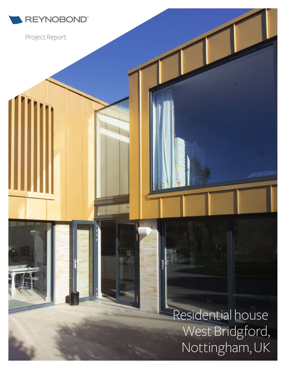

Project Report

**REYNOBOND®**